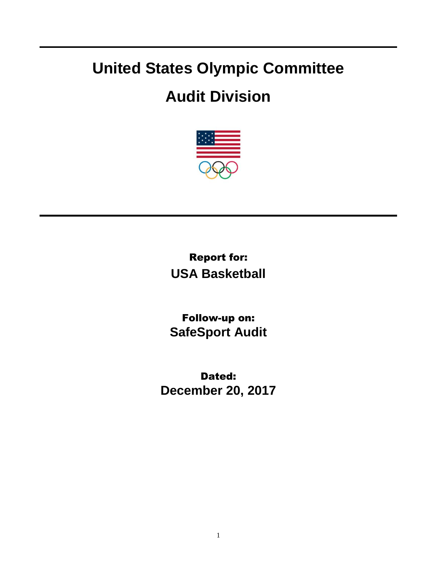## **United States Olympic Committee**

## **Audit Division**



Report for: **USA Basketball**

Follow-up on: **SafeSport Audit**

Dated: **December 20, 2017**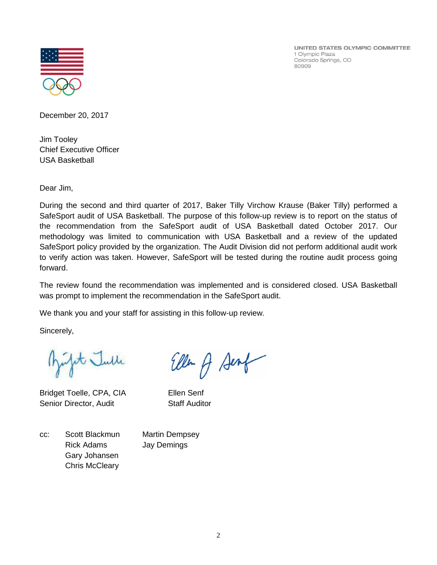UNITED STATES OLYMPIC COMMITTEE 1 Olympic Plaza Colorado Springs, CO 80909



December 20, 2017

Jim Tooley Chief Executive Officer USA Basketball

Dear Jim,

During the second and third quarter of 2017, Baker Tilly Virchow Krause (Baker Tilly) performed a SafeSport audit of USA Basketball. The purpose of this follow-up review is to report on the status of the recommendation from the SafeSport audit of USA Basketball dated October 2017. Our methodology was limited to communication with USA Basketball and a review of the updated SafeSport policy provided by the organization. The Audit Division did not perform additional audit work to verify action was taken. However, SafeSport will be tested during the routine audit process going forward.

The review found the recommendation was implemented and is considered closed. USA Basketball was prompt to implement the recommendation in the SafeSport audit.

We thank you and your staff for assisting in this follow-up review.

Sincerely,

it Julle

Bridget Toelle, CPA, CIA Ellen Senf Senior Director, Audit Staff Auditor

Ellen A Senf

cc: Scott Blackmun Martin Dempsey Rick Adams Jay Demings Gary Johansen Chris McCleary